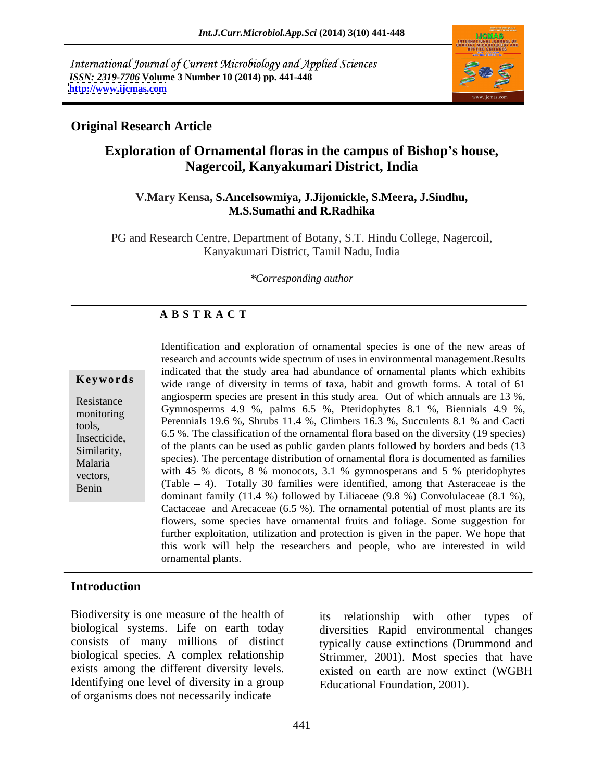International Journal of Current Microbiology and Applied Sciences *ISSN: 2319-7706* **Volume 3 Number 10 (2014) pp. 441-448 <http://www.ijcmas.com>**



# **Original Research Article**

# **Exploration of Ornamental floras in the campus of Bishop s house, Nagercoil, Kanyakumari District, India**

### **V.Mary Kensa, S.Ancelsowmiya, J.Jijomickle, S.Meera, J.Sindhu, M.S.Sumathi and R.Radhika**

PG and Research Centre, Department of Botany, S.T. Hindu College, Nagercoil, Kanyakumari District, Tamil Nadu, India

### *\*Corresponding author*

### **A B S T R A C T**

**Keywords** wide range of diversity in terms of taxa, habit and growth forms. A total of 61 Resistance angiosperm species are present in this study area. Out of which annuals are 13 %, Resistance angiosperm species are present in this study area. Out of which annuals are 13 %,<br>Gymnosperms 4.9 %, palms 6.5 %, Pteridophytes 8.1 %, Biennials 4.9 %, nomeoning<br>tools, Perennials 19.6 %, Shrubs 11.4 %, Climbers 16.3 %, Succulents 8.1 % and Cacti Insecticide,  $\begin{bmatrix} 6.5 \\ 6.6 \end{bmatrix}$ . The classification of the ornamental flora based on the diversity (19 species)  $\frac{1}{\text{Similarity}}$ , of the plants can be used as public garden plants followed by borders and beds (13) Malaria species). The percentage distribution of ornamental flora is documented as families vectors, with 45 % dicots, 8 % monocots, 3.1 % gymnosperans and 5 % pteridophytes Evently 30 families were identified, among that Asteraceae is the Benin (Table  $-4$ ). Totally 30 families were identified, among that Asteraceae is the Identification and exploration of ornamental species is one of the new areas of research and accounts wide spectrum of uses in environmental management.Results indicated that the study area had abundance of ornamental plants which exhibits species). The percentage distribution of ornamental flora is documented as families dominant family (11.4 %) followed by Liliaceae (9.8 %) Convolulaceae (8.1 %), Cactaceae and Arecaceae (6.5 %). The ornamental potential of most plants are its flowers, some species have ornamental fruits and foliage. Some suggestion for further exploitation, utilization and protection is given in the paper. We hope that this work will help the researchers and people, who are interested in wild ornamental plants.

# **Introduction**

Biodiversity is one measure of the health of its relationship with other types of exists among the different diversity levels. Identifying one level of diversity in a group of organisms does not necessarily indicate

biological systems. Life on earth today diversities Rapid environmental changes consists of many millions of distinct typically cause extinctions (Drummond and biological species. A complex relationship Strimmer, 2001). Most species that have relationship with other types existed on earth are now extinct (WGBH Educational Foundation, 2001).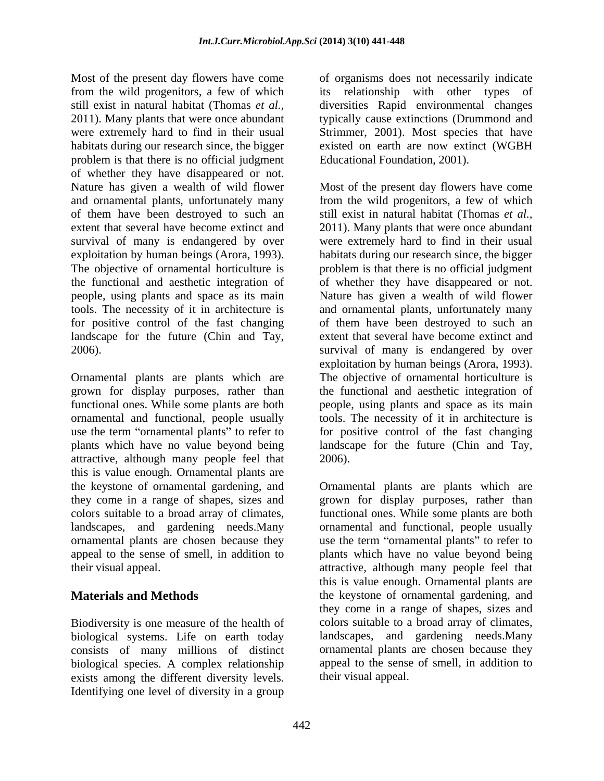Most of the present day flowers have come of organisms does not necessarily indicate from the wild progenitors, a few of which its relationship with other types of still exist in natural habitat (Thomas *et al.,* diversities Rapid environmental changes 2011). Many plants that were once abundant typically cause extinctions (Drummond and were extremely hard to find in their usual Strimmer, 2001). Most species that have habitats during our research since, the bigger existed on earth are now extinct (WGBH problem is that there is no official judgment of whether they have disappeared or not. and ornamental plants, unfortunately many of them have been destroyed to such an exploitation by human beings (Arora, 1993). landscape for the future (Chin and Tay,

Ornamental plants are plants which are grown for display purposes, rather than ornamental and functional, people usually attractive, although many people feel that this is value enough. Ornamental plants are

Biodiversity is one measure of the health of biological systems. Life on earth today consists of many millions of distinct biological species. A complex relationship exists among the different diversity levels. Identifying one level of diversity in a group

Educational Foundation, 2001).

Nature has given a wealth of wild flower Most of the present day flowers have come extent that several have become extinct and 2011). Many plants that were once abundant survival of many is endangered by over were extremely hard to find in their usual The objective of ornamental horticulture is problem is that there is no official judgment the functional and aesthetic integration of of whether they have disappeared or not. people, using plants and space as its main Nature has given a wealth of wild flower tools. The necessity of it in architecture is and ornamental plants, unfortunately many for positive control of the fast changing of them have been destroyed to such an 2006). survival of many is endangered by over functional ones. While some plants are both people, using plants and space as its main use the term "ornamental plants" to refer to for positive control of the fast changing plants which have no value beyond being landscape for the future (Chin and Tay, from the wild progenitors, a few of which still exist in natural habitat (Thomas *et al.,* habitats during our research since, the bigger extent that several have become extinct and exploitation by human beings (Arora, 1993). The objective of ornamental horticulture is the functional and aesthetic integration of tools. The necessity of it in architecture is 2006).

the keystone of ornamental gardening, and Ornamental plants are plants which are they come in a range of shapes, sizes and grown for display purposes, rather than colors suitable to a broad array of climates, functional ones. While some plants are both landscapes, and gardening needs.Many ornamental and functional, people usually ornamental plants are chosen because they use the term "ornamental plants" to refer to appeal to the sense of smell, in addition to plants which have no value beyond being their visual appeal. attractive, although many people feel that **Materials and Methods** the keystone of ornamental gardening, and this is value enough. Ornamental plants are they come in a range of shapes, sizes and colors suitable to a broad array of climates, landscapes, and gardening needs.Many ornamental plants are chosen because they appeal to the sense of smell, in addition to their visual appeal.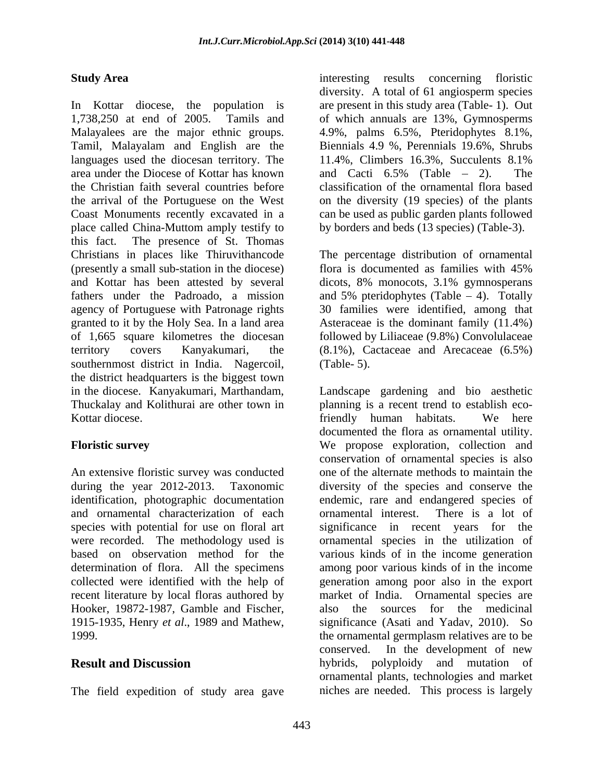In Kottar diocese, the population is 1,738,250 at end of 2005. Tamils and of which annuals are 13%, Gymnosperms Malayalees are the major ethnic groups. 4.9%, palms 6.5%, Pteridophytes 8.1%, Tamil, Malayalam and English are the languages used the diocesan territory. The  $11.4\%$ , Climbers 16.3%, Succulents 8.1% area under the Diocese of Kottar has known and Cacti 6.5% (Table – 2). The the Christian faith several countries before classification of the ornamental flora based the arrival of the Portuguese on the West on the diversity (19 species) of the plants Coast Monuments recently excavated in a can be used as public garden plants followed place called China-Muttom amply testify to this fact. The presence of St. Thomas Christians in places like Thiruvithancode The percentage distribution of ornamental (presently a small sub-station in the diocese) and Kottar has been attested by several dicots, 8% monocots, 3.1% gymnosperans fathers under the Padroado, a mission and 5% pteridophytes (Table 4). Totally agency of Portuguese with Patronage rights 30 families were identified, among that granted to it by the Holy Sea. In a land area Asteraceae is the dominant family (11.4%) of 1,665 square kilometres the diocesan followed by Liliaceae (9.8%) Convolulaceae territory covers Kanyakumari, the (8.1%), Cactaceae and Arecaceae (6.5%) southernmost district in India. Nagercoil, (Table-5). the district headquarters is the biggest town in the diocese. Kanyakumari, Marthandam, Landscape gardening and bio aesthetic Thuckalay and Kolithurai are other town in planning is a recent trend to establish eco-

identification, photographic documentation and ornamental characterization of each ornamental interest. There is a lot of were recorded. The methodology used is determination of flora. All the specimens Hooker, 19872-1987, Gamble and Fischer,

The field expedition of study area gave

**Study Area interesting** results concerning floristic diversity. A total of 61 angiosperm species are present in this study area (Table- 1). Out Biennials 4.9 %, Perennials 19.6%, Shrubs 11.4%, Climbers 16.3%, Succulents 8.1% and Cacti  $6.5\%$  (Table  $-2$ ). The by borders and beds (13 species) (Table-3).

> flora is documented as families with 45% (Table- 5).

Kottar diocese. friendly human habitats. We here **Floristic survey** We propose exploration, collection and An extensive floristic survey was conducted one of the alternate methods to maintain the during the year 2012-2013. Taxonomic diversity of the species and conserve the species with potential for use on floral art significance in recent years for the based on observation method for the various kinds of in the income generation collected were identified with the help of generation among poor also in the export recent literature by local floras authored by market of India. Ornamental species are 1915-1935, Henry *et al*., 1989 and Mathew, significance (Asati and Yadav, 2010). So 1999. the ornamental germplasm relatives are to be **Result and Discussion** hybrids, polyploidy and mutation of documented the flora as ornamental utility. conservation of ornamental species is also endemic, rare and endangered species of ornamental interest. There is a lot of ornamental species in the utilization of among poor various kinds of in the income sources for the medicinal conserved. In the development of new ornamental plants, technologies and market niches are needed. This process is largely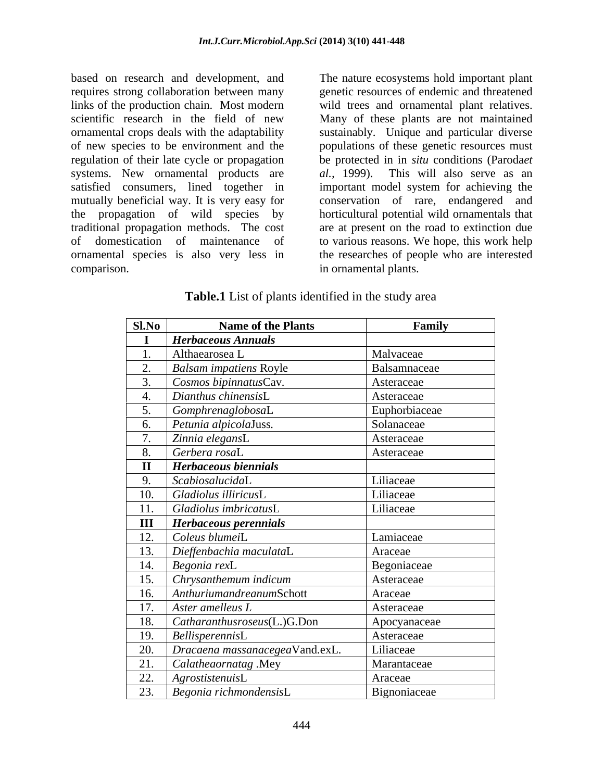based on research and development, and The nature ecosystems hold important plant requires strong collaboration between many genetic resources of endemic and threatened links of the production chain. Most modern wild trees and ornamental plant relatives. scientific research in the field of new Many of these plants are not maintained ornamental crops deals with the adaptability sustainably. Unique and particular diverse of new species to be environment and the populations of these genetic resources must regulation of their late cycle or propagation systems. New ornamental products are *al.*, 1999). This will also serve as an satisfied consumers, lined together in important model system for achieving the mutually beneficial way. It is very easy for conservation of rare, endangered and the propagation of wild species by traditional propagation methods. The cost are at present on the road to extinction due of domestication of maintenance of to various reasons. We hope, this work help ornamental species is also very less in

comparison. in ornamental plants. be protected in in *situ* conditions (Paroda*et al.,* 1999). This will also serve as an horticultural potential wild ornamentals that the researches of people who are interested

**Table.1** List of plants identified in the study area

| SlNo           | <b>Name of the Plants</b>                 | Family        |
|----------------|-------------------------------------------|---------------|
|                | <b>Herbaceous Annuals</b>                 |               |
|                | Althaearosea L                            | Malvaceae     |
| 2.             | <b>Balsam impatiens Royle</b>             | Balsamnaceae  |
| 3.             | Cosmos bipinnatusCav.                     | Asteraceae    |
|                | Dianthus chinensisL                       | Asteraceae    |
|                | <i>GomphrenaglobosaL</i>                  | Euphorbiaceae |
| - 6.           | Petunia alpicolaJuss.                     | Solanaceae    |
|                | Zinnia elegansL                           | Asteraceae    |
| 8.             | Gerbera rosaL                             | Asteraceae    |
|                | Herbaceous biennials                      |               |
| 9.             | ScabiosalucidaL                           | Liliaceae     |
| 10.            | Gladiolus illiricusL                      | Liliaceae     |
| 11.            | Gladiolus imbricatusL                     | Liliaceae     |
| $\mathbf{III}$ | <b>Herbaceous perennials</b>              |               |
| 12.            | $\bigcap$ Coleus blumei $L$               | Lamiaceae     |
| 13.            | Dieffenbachia maculataL                   | Araceae       |
| 14.            | $Begonia$ rex $L$                         | Begoniaceae   |
| 15.            | Chrysanthemum indicum                     | Asteraceae    |
| 16.            | AnthuriumandreanumSchott                  | Araceae       |
| 17.            | Aster amelleus L                          | Asteraceae    |
| 18.            | $\mathcal{L}$ Catharanthusroseus(L.)G.Don | Apocyanaceae  |
| 19.            | BellisperennisL                           | Asteraceae    |
| 20.            | Dracaena massanacegeaVand.exL.            | Liliaceae     |
| 21.            | Calatheaornatag .Mey                      | Marantaceae   |
| 22.            | AgrostistenuisL                           | Araceae       |
| 23.            | $\vert$ Begonia richmondensis $L$         | Bignoniaceae  |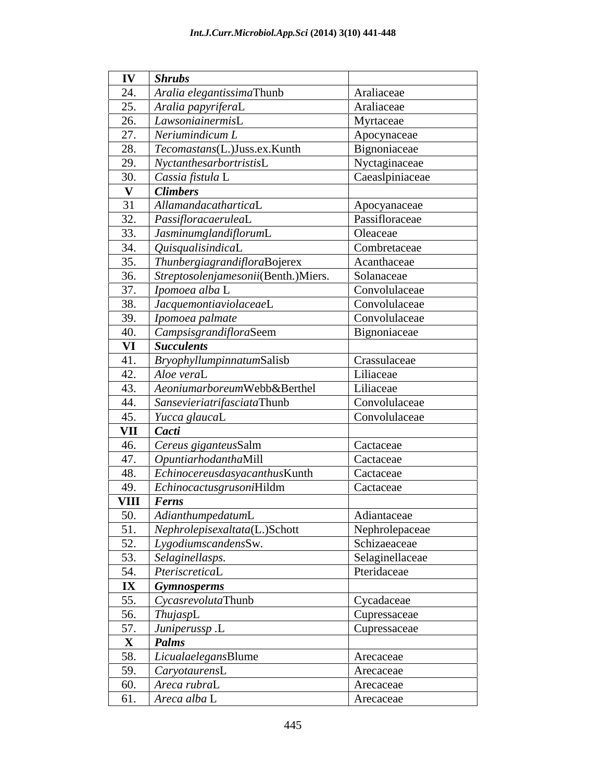| $IV$ Shrubs                                                                    |                 |
|--------------------------------------------------------------------------------|-----------------|
| $\vert$ Aralia elegantissimaThunb<br>24.                                       | Araliaceae      |
| 25.<br>Aralia papyriferaL                                                      | Araliaceae      |
| 26. LawsoniainermisL                                                           | Myrtaceae       |
| 27.<br>Neriumindicum L                                                         | Apocynaceae     |
| 28.<br>Tecomastans(L.)Juss.ex.Kunth                                            | Bignoniaceae    |
| 29.<br>$\vert$ NyctanthesarbortristisL                                         | Nyctaginaceae   |
| 30.<br>Cassia fistula L                                                        | Caeaslpiniaceae |
| V <i>Climbers</i>                                                              |                 |
| AllamandacatharticaL<br>31                                                     | Apocyanaceae    |
| 32.<br>PassifloracaeruleaL                                                     | Passifloraceae  |
| 33. JasminumglandiflorumL                                                      | Oleaceae        |
| QuisqualisindicaL<br>34.                                                       | Combretaceae    |
| ThunbergiagrandifloraBojerex<br>35.                                            | Acanthaceae     |
| 36.<br>Streptosolenjamesonii(Benth.)Miers.                                     | Solanaceae      |
| 37.<br>$\vert$ Ipomoea alba L                                                  | Convolulaceae   |
| 38.<br>$\big  \, Jacquemontiaviolaceae \mathsf{L} \,$                          | Convolulaceae   |
| 39.<br>$\vert$ Ipomoea palmate                                                 | Convolulaceae   |
| <i>CampsisgrandifloraSeem</i><br>40.                                           | Bignoniaceae    |
| VI Succulents                                                                  |                 |
| 41. BryophyllumpinnatumSalisb                                                  | Crassulaceae    |
| 42. Aloe veraL                                                                 | Liliaceae       |
| AeoniumarboreumWebb&Berthel<br>43.                                             | Liliaceae       |
| SansevieriatrifasciataThunb<br>44.                                             | Convolulaceae   |
| 45.<br><i>Yucca glaucaL</i>                                                    | Convolulaceae   |
| VII <i>Cacti</i>                                                               |                 |
| 46. Cereus giganteusSalm                                                       | Cactaceae       |
| 47. OpuntiarhodanthaMill                                                       | Cactaceae       |
| $\mathcal{L}$ Echinocereusdasyacanthus Kunth<br>48.                            | Cactaceae       |
| 49.   EchinocactusgrusoniHildm                                                 | Cactaceae       |
| $VIII$   Ferns                                                                 |                 |
| $\overline{50}$ .<br>AdianthumpedatumL                                         | Adiantaceae     |
| 51.<br>$\big  \ Nephrole \text{p} is exaltata \text{(L.)} \text{Schott} \big $ | Nephrolepaceae  |
| 52. LygodiumscandensSw.                                                        | Schizaeaceae    |
| 53. Selaginellasps.                                                            | Selaginellaceae |
| 54.<br>PteriscreticaL                                                          | Pteridaceae     |
| $\ X\ $ Gymnosperms                                                            |                 |
| 55. CycasrevolutaThunb                                                         | Cycadaceae      |
| 56.<br>ThujaspL                                                                | Cupressaceae    |
| 57. Juniperussp.L                                                              | Cupressaceae    |
| $\mathbf{X}$ <b>Palms</b>                                                      |                 |
| LicualaelegansBlume<br>58.                                                     | Arecaceae       |
| 59. CaryotaurensL                                                              | Arecaceae       |
| 60. Areca rubraL                                                               | Arecaceae       |
| 61. $Area \, dba \, L$                                                         | Arecaceae       |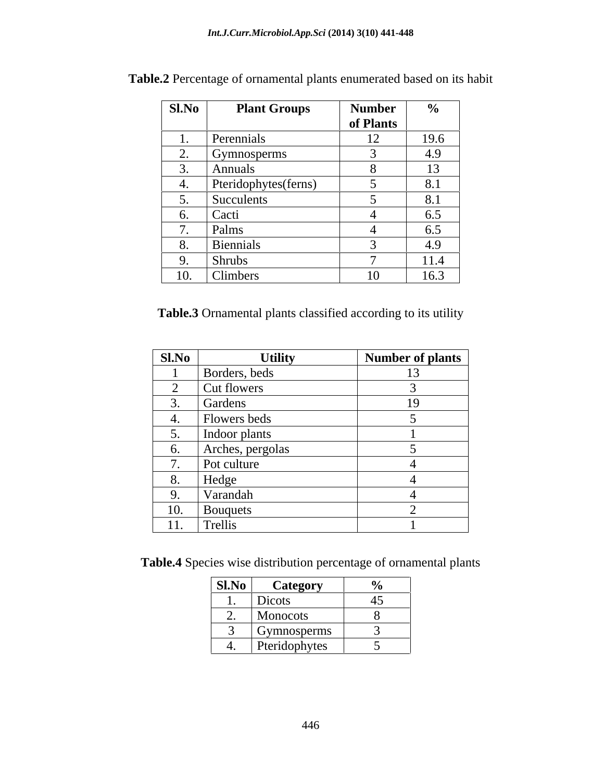| $\overline{\phantom{a}}$ $\overline{\phantom{a}}$ $\overline{\phantom{a}}$ $\overline{\phantom{a}}$ $\overline{\phantom{a}}$ $\overline{\phantom{a}}$ $\overline{\phantom{a}}$ $\overline{\phantom{a}}$ $\overline{\phantom{a}}$ $\overline{\phantom{a}}$ $\overline{\phantom{a}}$ $\overline{\phantom{a}}$ $\overline{\phantom{a}}$ $\overline{\phantom{a}}$ $\overline{\phantom{a}}$ $\overline{\phantom{a}}$ $\overline{\phantom{a}}$ $\overline{\phantom{a}}$ $\overline{\$<br>$\vert$ Sl.No $\vert$<br><b>Plant Groups</b> | Number                    | $\frac{6}{10}$     |
|---------------------------------------------------------------------------------------------------------------------------------------------------------------------------------------------------------------------------------------------------------------------------------------------------------------------------------------------------------------------------------------------------------------------------------------------------------------------------------------------------------------------------------|---------------------------|--------------------|
|                                                                                                                                                                                                                                                                                                                                                                                                                                                                                                                                 | $\sqrt{ }$ of Plants      |                    |
| Perennials                                                                                                                                                                                                                                                                                                                                                                                                                                                                                                                      | $\sqrt{10}$               | 19.6               |
|                                                                                                                                                                                                                                                                                                                                                                                                                                                                                                                                 | $\sqrt{1}$                | $\Lambda$ $\Omega$ |
| <u>Gymnosperms</u>                                                                                                                                                                                                                                                                                                                                                                                                                                                                                                              |                           | 4.Y                |
| Annuals                                                                                                                                                                                                                                                                                                                                                                                                                                                                                                                         |                           | 13                 |
| Pteridophytes(ferns)                                                                                                                                                                                                                                                                                                                                                                                                                                                                                                            |                           | 8.1                |
| Succulents                                                                                                                                                                                                                                                                                                                                                                                                                                                                                                                      |                           | 8.1                |
|                                                                                                                                                                                                                                                                                                                                                                                                                                                                                                                                 |                           | 6.5                |
|                                                                                                                                                                                                                                                                                                                                                                                                                                                                                                                                 |                           | $\ddotsc$<br>65    |
| <b>Biennials</b>                                                                                                                                                                                                                                                                                                                                                                                                                                                                                                                |                           | $\sqrt{2}$<br>4.9  |
|                                                                                                                                                                                                                                                                                                                                                                                                                                                                                                                                 |                           | 111                |
| <b>Shrubs</b>                                                                                                                                                                                                                                                                                                                                                                                                                                                                                                                   |                           |                    |
| Climbers<br>$\overline{10}$<br>$\mathbf{v}$                                                                                                                                                                                                                                                                                                                                                                                                                                                                                     | $\overline{10}$<br>$\sim$ | 16.3               |

**Table.2** Percentage of ornamental plants enumerated based on its habit

**Table.3** Ornamental plants classified according to its utility

| <b>Sl.No</b>    | <b>Utility</b>   | Number of plants |
|-----------------|------------------|------------------|
|                 | Borders, beds    |                  |
| $\bigcap$       | Cut flowers      |                  |
| 3.              | Gardens          | 19               |
| 4.              | Flowers beds     |                  |
| $\mathcal{L}$ . | Indoor plants    |                  |
| 6.              | Arches, pergolas |                  |
| $\mathcal{L}$   | Pot culture      |                  |
| 8.              | Hedge            |                  |
| 9.              | Varandah         |                  |
| 10.             | <b>B</b> ouquets |                  |
| 11.             | Trellis          |                  |

**Table.4** Species wise distribution percentage of ornamental plants

| SI.No  <br><b>Category</b> |                |  |
|----------------------------|----------------|--|
| Dicots                     | $\overline{a}$ |  |
| Monocots                   |                |  |
| Gymnosperms                |                |  |
| Pteridophytes              |                |  |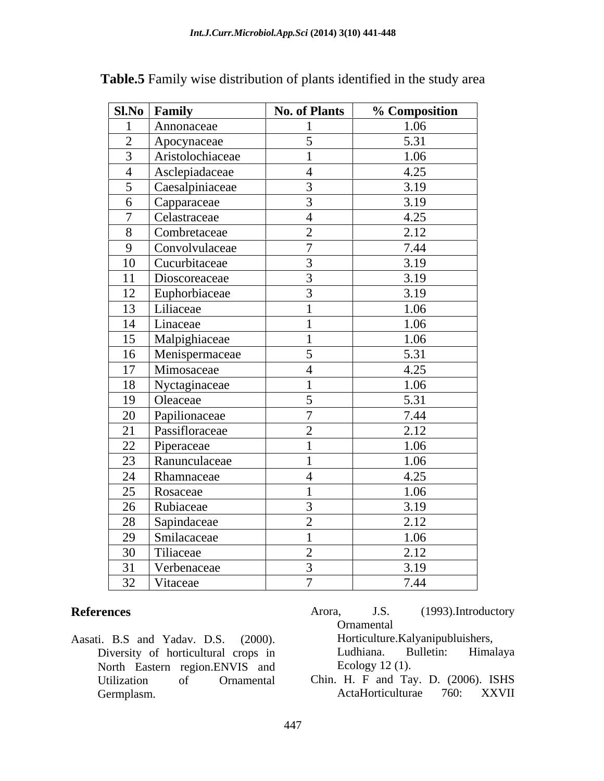|                 | Sl.No Family     | <b>No. of Plants</b> | % Composition |
|-----------------|------------------|----------------------|---------------|
|                 | Annonaceae       |                      | 1.06          |
| 2               | Apocynaceae      | $5\overline{)}$      | 5.31          |
| $\overline{3}$  | Aristolochiaceae |                      | 1.06          |
| $\overline{4}$  | Asclepiadaceae   | $\overline{4}$       | 4.25          |
| $5\overline{)}$ | Caesalpiniaceae  | $\overline{3}$       | 3.19          |
|                 | 6 Capparaceae    | $\overline{3}$       | 3.19          |
| $\tau$          | Celastraceae     | $\overline{4}$       | 4.25          |
| 8               | Combretaceae     | 2                    | 2.12          |
| 9               | Convolvulaceae   | $7\phantom{.0}$      | 7.44          |
| 10              | Cucurbitaceae    | $\overline{3}$       | 3.19          |
| 11              | Dioscoreaceae    | $\overline{3}$       | 3.19          |
| 12              | Euphorbiaceae    | $\overline{3}$       | 3.19          |
|                 | 13   Liliaceae   |                      | 1.06          |
| 14              | Linaceae         |                      | 1.06          |
| 15              | Malpighiaceae    |                      | 1.06          |
| 16              | Menispermaceae   | $5\overline{)}$      | 5.31          |
|                 | 17   Mimosaceae  | $\overline{4}$       | 4.25          |
| 18              | Nyctaginaceae    |                      | 1.06          |
| 19              | Oleaceae         | 5                    | 5.31          |
| 20              | Papilionaceae    | $\overline{7}$       | 7.44          |
| 21              | Passifloraceae   | 2                    | 2.12          |
| $\overline{22}$ | Piperaceae       |                      | 1.06          |
| 23              | Ranunculaceae    |                      | 1.06          |
| 24              | Rhamnaceae       | $\overline{4}$       | 4.25          |
| 25              | Rosaceae         |                      | 1.06          |
| 26              | Rubiaceae        | $\overline{3}$       | 3.19          |
| 28              | Sapindaceae      | 2                    | 2.12          |
| 29              | Smilacaceae      |                      | 1.06          |
| 30              | Tiliaceae        | 2                    | 2.12          |
| 31              | Verbenaceae      | $\overline{3}$       | 3.19          |
| 32              | Vitaceae         | $\mathbf{z}$         | 7.44          |

**Table.5** Family wise distribution of plants identified in the study area

- Aasati. B.S and Yadav. D.S. (2000). Horticulture. Kalyanipubluishers,<br>Diversity of horticultural crops in Ludhiana. Bulletin: Himalaya Diversity of horticultural crops in North Eastern region.ENVIS and
- **References** Arora, J.S. (1993).Introductory Ornamental Arora, J.S. (1993).Introductory Ornamental Horticulture.Kalyanipubluishers, Ludhiana. Bulletin: Himalaya Ecology 12 (1).
	- Utilization of Ornamental Chin. H. F and Tay. D. (2006). ISHS Germplasm. ActaHorticulturae 760: XXVII ActaHorticulturae 760: XXVII